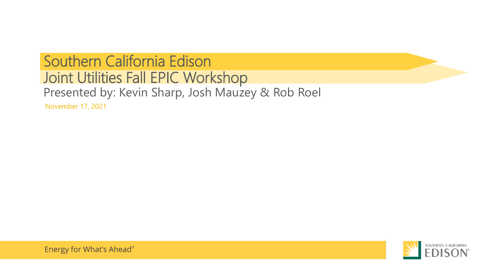## Presented by: Kevin Sharp, Josh Mauzey & Rob Roel November 17, 2021 Southern California Edison Joint Utilities Fall EPIC Workshop

Energy for What's Ahead®

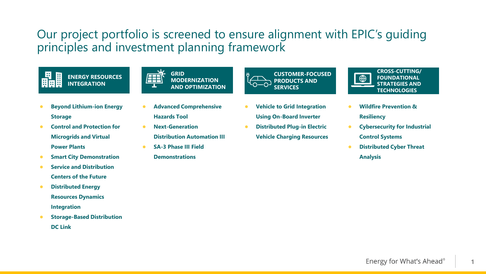### Our project portfolio is screened to ensure alignment with EPIC's guiding principles and investment planning framework



- **Beyond Lithium-ion Energy Storage**
- **Control and Protection for Microgrids and Virtual Power Plants**
- **•** Smart City Demonstration
- **•** Service and Distribution **Centers of the Future**
- **Distributed Energy Resources Dynamics Integration**
- **Storage-Based Distribution DC Link**
- **GRID MODERNIZATION AND OPTIMIZATION**
- **Advanced Comprehensive Hazards Tool**
- **Next-Generation Distribution Automation III**
- **SA-3 Phase III Field Demonstrations**



- **Vehicle to Grid Integration Using On-Board Inverter**
- **Distributed Plug-in Electric Vehicle Charging Resources**



- **Wildfire Prevention & Resiliency**
- **Cybersecurity for Industrial Control Systems**
- **Distributed Cyber Threat Analysis**

**1**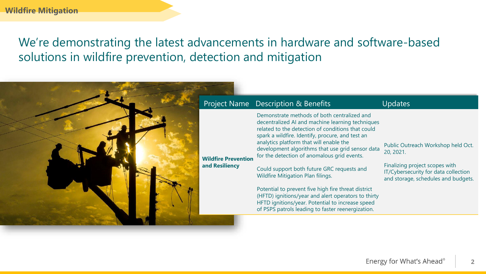# We're demonstrating the latest advancements in hardware and software-based solutions in wildfire prevention, detection and mitigation

| Project Name Description & Benefits          |
|----------------------------------------------|
| <b>Wildfire Prevention</b><br>and Resiliency |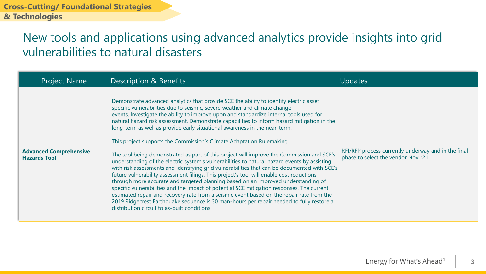### New tools and applications using advanced analytics provide insights into grid vulnerabilities to natural disasters

| <b>Project Name</b>                                  | Description & Benefits                                                                                                                                                                                                                                                                                                                                                                                                                                                                                                                                                                                                                                                                                                                                                                                                                                                                                                                                                                                                                                                                                                                                                                                                                                                                                                                     | Updates                                                                                     |
|------------------------------------------------------|--------------------------------------------------------------------------------------------------------------------------------------------------------------------------------------------------------------------------------------------------------------------------------------------------------------------------------------------------------------------------------------------------------------------------------------------------------------------------------------------------------------------------------------------------------------------------------------------------------------------------------------------------------------------------------------------------------------------------------------------------------------------------------------------------------------------------------------------------------------------------------------------------------------------------------------------------------------------------------------------------------------------------------------------------------------------------------------------------------------------------------------------------------------------------------------------------------------------------------------------------------------------------------------------------------------------------------------------|---------------------------------------------------------------------------------------------|
| <b>Advanced Comprehensive</b><br><b>Hazards Tool</b> | Demonstrate advanced analytics that provide SCE the ability to identify electric asset<br>specific vulnerabilities due to seismic, severe weather and climate change<br>events. Investigate the ability to improve upon and standardize internal tools used for<br>natural hazard risk assessment. Demonstrate capabilities to inform hazard mitigation in the<br>long-term as well as provide early situational awareness in the near-term.<br>This project supports the Commission's Climate Adaptation Rulemaking.<br>The tool being demonstrated as part of this project will improve the Commission and SCE's<br>understanding of the electric system's vulnerabilities to natural hazard events by assisting<br>with risk assessments and identifying grid vulnerabilities that can be documented with SCE's<br>future vulnerability assessment filings. This project's tool will enable cost reductions<br>through more accurate and targeted planning based on an improved understanding of<br>specific vulnerabilities and the impact of potential SCE mitigation responses. The current<br>estimated repair and recovery rate from a seismic event based on the repair rate from the<br>2019 Ridgecrest Earthquake sequence is 30 man-hours per repair needed to fully restore a<br>distribution circuit to as-built conditions. | RFI/RFP process currently underway and in the final<br>phase to select the vendor Nov. '21. |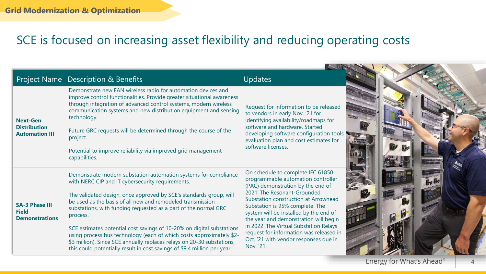## SCE is focused on increasing asset flexibility and reducing operating costs

|                                                                 | <b>Project Name Description &amp; Benefits</b>                                                                                                                                                                                                                                                                                                                                                                                                                   | <b>Updates</b>                                                                                                                                                                                                                                                   |  |
|-----------------------------------------------------------------|------------------------------------------------------------------------------------------------------------------------------------------------------------------------------------------------------------------------------------------------------------------------------------------------------------------------------------------------------------------------------------------------------------------------------------------------------------------|------------------------------------------------------------------------------------------------------------------------------------------------------------------------------------------------------------------------------------------------------------------|--|
| <b>Next-Gen</b><br><b>Distribution</b><br><b>Automation III</b> | Demonstrate new FAN wireless radio for automation devices and<br>improve control functionalities. Provide greater situational awareness<br>through integration of advanced control systems, modern wireless<br>communication systems and new distribution equipment and sensing<br>technology.<br>Future GRC requests will be determined through the course of the<br>project.<br>Potential to improve reliability via improved grid management<br>capabilities. | Request for information to be released<br>to vendors in early Nov. '21 for<br>identifying availability/roadmaps for<br>software and hardware. Started<br>developing software configuration tools<br>evaluation plan and cost estimates for<br>software licenses. |  |
| <b>SA-3 Phase III</b><br><b>Field</b><br><b>Demonstrations</b>  | Demonstrate modern substation automation systems for compliance<br>with NERC CIP and IT cybersecurity requirements.                                                                                                                                                                                                                                                                                                                                              | On schedule to complete IEC 61850<br>programmable automation controller<br>(PAC) demonstration by the end of                                                                                                                                                     |  |
|                                                                 | The validated design, once approved by SCE's standards group, will<br>be used as the basis of all new and remodeled transmission<br>substations, with funding requested as a part of the normal GRC<br>process.                                                                                                                                                                                                                                                  | 2021. The Resonant-Grounded<br>Substation construction at Arrowhead<br>Substation is 95% complete. The<br>system will be installed by the end of<br>the year and demonstration will begin                                                                        |  |
|                                                                 | SCE estimates potential cost savings of 10-20% on digital substations<br>using process bus technology (each of which costs approximately \$2-<br>\$3 million). Since SCE annually replaces relays on 20-30 substations,<br>this could potentially result in cost savings of \$9.4 million per year.                                                                                                                                                              | in 2022. The Virtual Substation Relays<br>request for information was released in<br>Oct. '21 with vendor responses due in<br>Nov. '21.                                                                                                                          |  |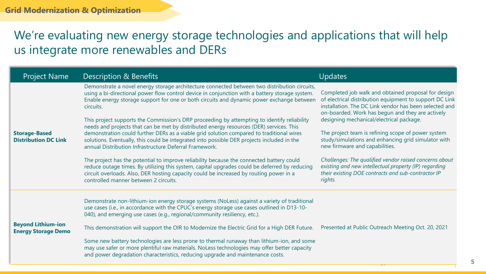# We're evaluating new energy storage technologies and applications that will help us integrate more renewables and DERs

| <b>Project Name</b>                                     | Description & Benefits                                                                                                                                                                                                                                                                                                                                                                                                                                                                                                                                                                                                                                                                                                                                                                                                                                                                                                                                                                                                                                                                 | <b>Updates</b>                                                                                                                                                                                                                                                                                                                                                                                                                                                                                                                                                                                              |
|---------------------------------------------------------|----------------------------------------------------------------------------------------------------------------------------------------------------------------------------------------------------------------------------------------------------------------------------------------------------------------------------------------------------------------------------------------------------------------------------------------------------------------------------------------------------------------------------------------------------------------------------------------------------------------------------------------------------------------------------------------------------------------------------------------------------------------------------------------------------------------------------------------------------------------------------------------------------------------------------------------------------------------------------------------------------------------------------------------------------------------------------------------|-------------------------------------------------------------------------------------------------------------------------------------------------------------------------------------------------------------------------------------------------------------------------------------------------------------------------------------------------------------------------------------------------------------------------------------------------------------------------------------------------------------------------------------------------------------------------------------------------------------|
| <b>Storage-Based</b><br><b>Distribution DC Link</b>     | Demonstrate a novel energy storage architecture connected between two distribution circuits,<br>using a bi-directional power flow control device in conjunction with a battery storage system.<br>Enable energy storage support for one or both circuits and dynamic power exchange between<br>circuits.<br>This project supports the Commission's DRP proceeding by attempting to identify reliability<br>needs and projects that can be met by distributed energy resources (DER) services. This<br>demonstration could further DERs as a viable grid solution compared to traditional wires<br>solutions. Eventually, this could be integrated into possible DER projects included in the<br>annual Distribution Infrastructure Deferral Framework.<br>The project has the potential to improve reliability because the connected battery could<br>reduce outage times. By utilizing this system, capital upgrades could be deferred by reducing<br>circuit overloads. Also, DER hosting capacity could be increased by routing power in a<br>controlled manner between 2 circuits. | Completed job walk and obtained proposal for design<br>of electrical distribution equipment to support DC Link<br>installation. The DC Link vendor has been selected and<br>on-boarded. Work has begun and they are actively<br>designing mechanical/electrical package.<br>The project team is refining scope of power system<br>study/simulations and enhancing grid simulator with<br>new firmware and capabilities.<br>Challenges: The qualified vendor raised concerns about<br>existing and new intellectual property (IP) regarding<br>their existing DOE contracts and sub-contractor IP<br>rights. |
| <b>Beyond Lithium-ion</b><br><b>Energy Storage Demo</b> | Demonstrate non-lithium-ion energy storage systems (NoLess) against a variety of traditional<br>use cases (i.e., in accordance with the CPUC's energy storage use cases outlined in D13-10-<br>040), and emerging use cases (e.g., regional/community resiliency, etc.).<br>This demonstration will support the OIR to Modernize the Electric Grid for a High DER Future.<br>Some new battery technologies are less prone to thermal runaway than lithium-ion, and some<br>may use safer or more plentiful raw materials. NoLess technologies may offer better capacity<br>and power degradation characteristics, reducing upgrade and maintenance costs.                                                                                                                                                                                                                                                                                                                                                                                                                              | Presented at Public Outreach Meeting Oct. 20, 2021                                                                                                                                                                                                                                                                                                                                                                                                                                                                                                                                                          |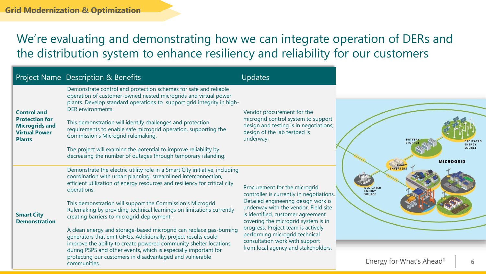# We're evaluating and demonstrating how we can integrate operation of DERs and the distribution system to enhance resiliency and reliability for our customers

|                                                                                                                                                                                                                                                                                                                                                                                                                                                                                                                                                                                       | Project Name Description & Benefits                                                                                                                                                                                                                                                                                                                      | <b>Updates</b>                                                                                                                                                                                                                                                                                           |                                                                        |
|---------------------------------------------------------------------------------------------------------------------------------------------------------------------------------------------------------------------------------------------------------------------------------------------------------------------------------------------------------------------------------------------------------------------------------------------------------------------------------------------------------------------------------------------------------------------------------------|----------------------------------------------------------------------------------------------------------------------------------------------------------------------------------------------------------------------------------------------------------------------------------------------------------------------------------------------------------|----------------------------------------------------------------------------------------------------------------------------------------------------------------------------------------------------------------------------------------------------------------------------------------------------------|------------------------------------------------------------------------|
| Demonstrate control and protection schemes for safe and reliable<br>operation of customer-owned nested microgrids and virtual power<br>DER environments.<br><b>Control and</b><br><b>Protection for</b><br>This demonstration will identify challenges and protection<br><b>Microgrids and</b><br>requirements to enable safe microgrid operation, supporting the<br><b>Virtual Power</b><br>Commission's Microgrid rulemaking.<br><b>Plants</b><br>The project will examine the potential to improve reliability by<br>decreasing the number of outages through temporary islanding. | plants. Develop standard operations to support grid integrity in high-                                                                                                                                                                                                                                                                                   | Vendor procurement for the<br>microgrid control system to support<br>design and testing is in negotiations;<br>design of the lab testbed is<br>underway.                                                                                                                                                 |                                                                        |
|                                                                                                                                                                                                                                                                                                                                                                                                                                                                                                                                                                                       |                                                                                                                                                                                                                                                                                                                                                          |                                                                                                                                                                                                                                                                                                          | <b>STORAGE</b>                                                         |
|                                                                                                                                                                                                                                                                                                                                                                                                                                                                                                                                                                                       |                                                                                                                                                                                                                                                                                                                                                          |                                                                                                                                                                                                                                                                                                          |                                                                        |
| <b>Smart City</b><br><b>Demonstration</b>                                                                                                                                                                                                                                                                                                                                                                                                                                                                                                                                             | Demonstrate the electric utility role in a Smart City initiative, including<br>coordination with urban planning, streamlined interconnection,<br>efficient utilization of energy resources and resiliency for critical city<br>operations.                                                                                                               | Procurement for the microgrid<br>controller is currently in negotiations.                                                                                                                                                                                                                                | <b>INVERTERS</b><br><b>DEDICATED</b><br><b>ENERGY</b><br><b>SOURCE</b> |
|                                                                                                                                                                                                                                                                                                                                                                                                                                                                                                                                                                                       | This demonstration will support the Commission's Microgrid<br>Rulemaking by providing technical learnings on limitations currently<br>creating barriers to microgrid deployment.                                                                                                                                                                         | Detailed engineering design work is<br>underway with the vendor. Field site<br>is identified, customer agreement<br>covering the microgrid system is in<br>progress. Project team is actively<br>performing microgrid technical<br>consultation work with support<br>from local agency and stakeholders. |                                                                        |
|                                                                                                                                                                                                                                                                                                                                                                                                                                                                                                                                                                                       | A clean energy and storage-based microgrid can replace gas-burning<br>generators that emit GHGs. Additionally, project results could<br>improve the ability to create powered community shelter locations<br>during PSPS and other events, which is especially important for<br>protecting our customers in disadvantaged and vulnerable<br>communities. |                                                                                                                                                                                                                                                                                                          | Energy for What's Ahead <sup>®</sup>                                   |

**6**

**ENERGY** SOURCE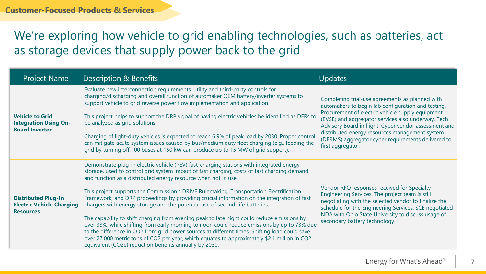# We're exploring how vehicle to grid enabling technologies, such as batteries, act as storage devices that supply power back to the grid

| <b>Project Name</b>                                                                | <b>Description &amp; Benefits</b>                                                                                                                                                                                                                                                                                                                                                                                                                                                                                                                                                                                                                                                                                                                                                                                                                                                                                                                                                          | <b>Updates</b>                                                                                                                                                                                                                                                                                                                                                                                        |
|------------------------------------------------------------------------------------|--------------------------------------------------------------------------------------------------------------------------------------------------------------------------------------------------------------------------------------------------------------------------------------------------------------------------------------------------------------------------------------------------------------------------------------------------------------------------------------------------------------------------------------------------------------------------------------------------------------------------------------------------------------------------------------------------------------------------------------------------------------------------------------------------------------------------------------------------------------------------------------------------------------------------------------------------------------------------------------------|-------------------------------------------------------------------------------------------------------------------------------------------------------------------------------------------------------------------------------------------------------------------------------------------------------------------------------------------------------------------------------------------------------|
| <b>Vehicle to Grid</b><br><b>Integration Using On-</b><br><b>Board Inverter</b>    | Evaluate new interconnection requirements, utility and third-party controls for<br>charging/discharging and overall function of automaker OEM battery/inverter systems to<br>support vehicle to grid reverse power flow implementation and application.<br>This project helps to support the DRP's goal of having electric vehicles be identified as DERs to<br>be analyzed as grid solutions.<br>Charging of light-duty vehicles is expected to reach 6.9% of peak load by 2030. Proper control<br>can mitigate acute system issues caused by bus/medium duty fleet charging (e.g., feeding the<br>grid by turning off 100 buses at 150 kW can produce up to 15 MW of grid support).                                                                                                                                                                                                                                                                                                      | Completing trial-use agreements as planned with<br>automakers to begin lab configuration and testing.<br>Procurement of electric vehicle supply equipment<br>(EVSE) and aggregator services also underway. Tech<br>Advisory Board in flight. Cyber vendor assessment and<br>distributed energy resources management system<br>(DERMS) aggregator cyber requirements delivered to<br>first aggregator. |
| <b>Distributed Plug-In</b><br><b>Electric Vehicle Charging</b><br><b>Resources</b> | Demonstrate plug-in electric vehicle (PEV) fast-charging stations with integrated energy<br>storage, used to control grid system impact of fast charging, costs of fast charging demand<br>and function as a distributed energy resource when not in use.<br>This project supports the Commission's DRIVE Rulemaking, Transportation Electrification<br>Framework, and DRP proceedings by providing crucial information on the integration of fast<br>chargers with energy storage and the potential use of second-life batteries.<br>The capability to shift charging from evening peak to late night could reduce emissions by<br>over 33%, while shifting from early morning to noon could reduce emissions by up to 73% due<br>to the difference in CO2 from grid power sources at different times. Shifting load could save<br>over 27,000 metric tons of CO2 per year, which equates to approximately \$2.1 million in CO2<br>equivalent (CO2e) reduction benefits annually by 2030. | Vendor RFQ responses received for Specialty<br>Engineering Services. The project team is still<br>negotiating with the selected vendor to finalize the<br>schedule for the Engineering Services. SCE negotiated<br>NDA with Ohio State University to discuss usage of<br>secondary battery technology.                                                                                                |

**7**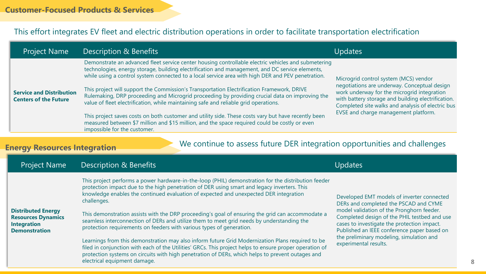#### This effort integrates EV fleet and electric distribution operations in order to facilitate transportation electrification

| <b>Project Name</b>                                             | Description & Benefits                                                                                                                                                                                                                                                                                      | Updates                                                                                                                                                                                                |
|-----------------------------------------------------------------|-------------------------------------------------------------------------------------------------------------------------------------------------------------------------------------------------------------------------------------------------------------------------------------------------------------|--------------------------------------------------------------------------------------------------------------------------------------------------------------------------------------------------------|
| <b>Service and Distribution</b><br><b>Centers of the Future</b> | Demonstrate an advanced fleet service center housing controllable electric vehicles and submetering<br>technologies, energy storage, building electrification and management, and DC service elements,<br>while using a control system connected to a local service area with high DER and PEV penetration. | Microgrid control system (MCS) vendor                                                                                                                                                                  |
|                                                                 | This project will support the Commission's Transportation Electrification Framework, DRIVE<br>Rulemaking, DRP proceeding and Microgrid proceeding by providing crucial data on improving the<br>value of fleet electrification, while maintaining safe and reliable grid operations.                        | negotiations are underway. Conceptual design<br>work underway for the microgrid integration<br>with battery storage and building electrification.<br>Completed site walks and analysis of electric bus |
|                                                                 | This project saves costs on both customer and utility side. These costs vary but have recently been<br>measured between \$7 million and \$15 million, and the space required could be costly or even<br>impossible for the customer.                                                                        | EVSE and charge management platform.                                                                                                                                                                   |

#### **Energy Resources Integration**

#### We continue to assess future DER integration opportunities and challenges

| <b>Project Name</b>                                                                                  | Description & Benefits                                                                                                                                                                                                                                                                                                                          | Updates                                                                                                                                                                                 |
|------------------------------------------------------------------------------------------------------|-------------------------------------------------------------------------------------------------------------------------------------------------------------------------------------------------------------------------------------------------------------------------------------------------------------------------------------------------|-----------------------------------------------------------------------------------------------------------------------------------------------------------------------------------------|
| <b>Distributed Energy</b><br><b>Resources Dynamics</b><br><b>Integration</b><br><b>Demonstration</b> | This project performs a power hardware-in-the-loop (PHIL) demonstration for the distribution feeder<br>protection impact due to the high penetration of DER using smart and legacy inverters. This<br>knowledge enables the continued evaluation of expected and unexpected DER integration<br>challenges.                                      | Developed EMT models of inverter connected<br>DERs and completed the PSCAD and CYME                                                                                                     |
|                                                                                                      | This demonstration assists with the DRP proceeding's goal of ensuring the grid can accommodate a<br>seamless interconnection of DERs and utilize them to meet grid needs by understanding the<br>protection requirements on feeders with various types of generation.                                                                           | model validation of the Pronghorn feeder.<br>Completed design of the PHIL testbed and use<br>cases to investigate the protection impact.<br>Published an IEEE conference paper based on |
|                                                                                                      | Learnings from this demonstration may also inform future Grid Modernization Plans required to be<br>filed in conjunction with each of the Utilities' GRCs. This project helps to ensure proper operation of<br>protection systems on circuits with high penetration of DERs, which helps to prevent outages and<br>electrical equipment damage. | the preliminary modeling, simulation and<br>experimental results.                                                                                                                       |